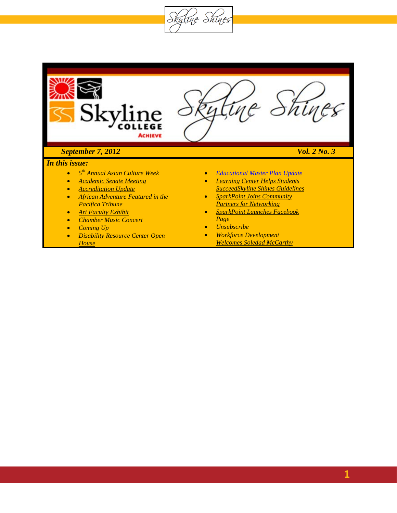Skytine Shines

<span id="page-0-0"></span>

- *Disability Resource Center Open House*
- *Workforce Development Welcomes Soledad McCarthy*

**1**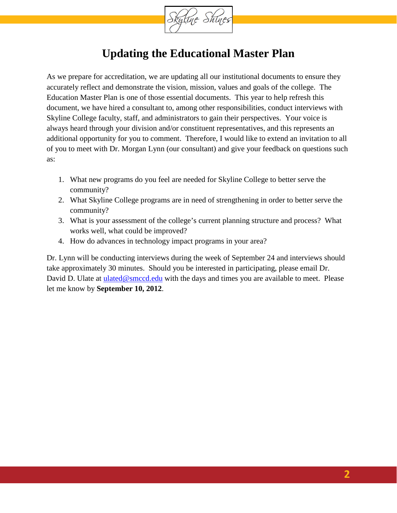

### **Updating the Educational Master Plan**

As we prepare for accreditation, we are updating all our institutional documents to ensure they accurately reflect and demonstrate the vision, mission, values and goals of the college. The Education Master Plan is one of those essential documents. This year to help refresh this document, we have hired a consultant to, among other responsibilities, conduct interviews with Skyline College faculty, staff, and administrators to gain their perspectives. Your voice is always heard through your division and/or constituent representatives, and this represents an additional opportunity for you to comment. Therefore, I would like to extend an invitation to all of you to meet with Dr. Morgan Lynn (our consultant) and give your feedback on questions such as:

- 1. What new programs do you feel are needed for Skyline College to better serve the community?
- 2. What Skyline College programs are in need of strengthening in order to better serve the community?
- 3. What is your assessment of the college's current planning structure and process? What works well, what could be improved?
- 4. How do advances in technology impact programs in your area?

Dr. Lynn will be conducting interviews during the week of September 24 and interviews should take approximately 30 minutes. Should you be interested in participating, please email Dr. David D. Ulate at [ulated@smccd.edu](mailto:ulated@smccd.edu) with the days and times you are available to meet. Please let me know by **September 10, 2012**.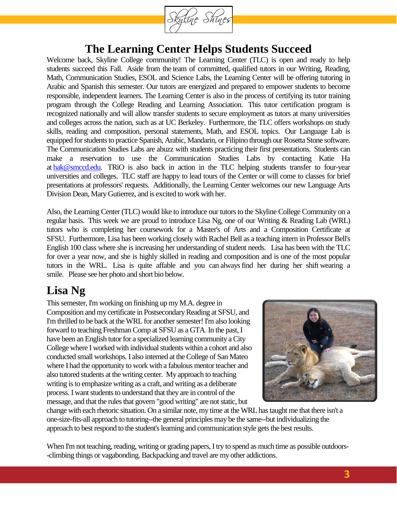

### **The Learning Center Helps Students Succeed**

Welcome back, Skyline College community! The Learning Center (TLC) is open and ready to help students succeed this Fall. Aside from the team of committed, qualified tutors in our Writing, Reading, Math, Communication Studies, ESOL and Science Labs, the Learning Center will be offering tutoring in Arabic and Spanish this semester. Our tutors are energized and prepared to empower students to become responsible, independent learners. The Learning Center is also in the process of certifying its tutor training program through the College Reading and Learning Association. This tutor certification program is recognized nationally and will allow transfer students to secure employment as tutors at many universities and colleges across the nation, such as at UC Berkeley. Furthermore, the TLC offers workshops on study skills, reading and composition, personal statements, Math, and ESOL topics. Our Language Lab is equipped for students to practice Spanish, Arabic, Mandarin, or Filipino through our Rosetta Stone software. The Communication Studies Labs are abuzz with students practicing their first presentations. Students can make a reservation to use the Communication Studies Labs by contacting Katie Ha at [hak@smccd.edu.](mailto:hak@smccd.edu) TRiO is also back in action in the TLC helping students transfer to four-year universities and colleges. TLC staff are happy to lead tours of the Center or will come to classes for brief presentations at professors' requests. Additionally, the Learning Center welcomes our new Language Arts Division Dean, Mary Gutierrez, and is excited to work with her.

Also, the Learning Center (TLC) would like to introduce our tutors to the Skyline College Community on a regular basis. This week we are proud to introduce Lisa Ng, one of our Writing & Reading Lab (WRL) tutors who is completing her coursework for a Master's of Arts and a Composition Certificate at SFSU. Furthermore, Lisa has been working closely with Rachel Bell as a teaching intern in Professor Bell's English 100 class where she is increasing her understanding of student needs. Lisa has been with the TLC for over a year now, and she is highly skilled in reading and composition and is one of the most popular tutors in the WRL. Lisa is quite affable and you can alwaysfind her during her shift wearing a smile. Please see her photo and short bio below.

### **Lisa Ng**

This semester, I'm working on finishing up my M.A. degree in Composition and my certificate in Postsecondary Reading at SFSU, and I'm thrilled to be back at the WRL for another semester! I'm also looking forward to teaching Freshman Comp at SFSU as a GTA. In the past, I have been an English tutor for a specialized learning community a City College where I worked with individual students within a cohort and also conducted small workshops. I also interned at the College of San Mateo where I had the opportunity to work with a fabulous mentor teacher and also tutored students at the writing center. My approach to teaching writing is to emphasize writing as a craft, and writing as a deliberate process. I want students to understand that they are in control of the message, and that the rules that govern "good writing" are not static, but



change with each rhetoric situation. On a similar note, my time at the WRL has taught me that there isn't a one-size-fits-all approach to tutoring--the general principles may be the same--but individualizing the approach to best respond to the student's learning and communication style gets the best results.

When I'm not teaching, reading, writing or grading papers, I try to spend as much time as possible outdoors--climbing things or vagabonding. Backpacking and travel are my other addictions.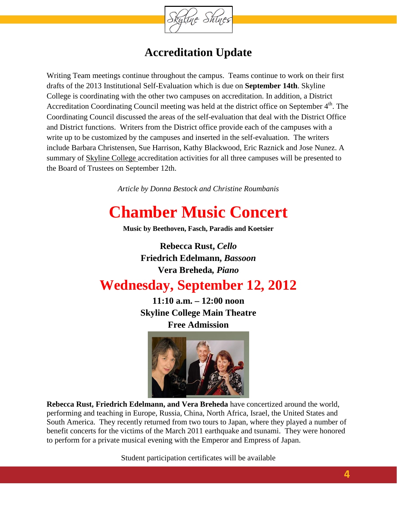

### **Accreditation Update**

Writing Team meetings continue throughout the campus. Teams continue to work on their first drafts of the 2013 Institutional Self-Evaluation which is due on **September 14th**. Skyline College is coordinating with the other two campuses on accreditation. In addition, a District Accreditation Coordinating Council meeting was held at the district office on September 4<sup>th</sup>. The Coordinating Council discussed the areas of the self-evaluation that deal with the District Office and District functions. Writers from the District office provide each of the campuses with a write up to be customized by the campuses and inserted in the self-evaluation. The writers include Barbara Christensen, Sue Harrison, Kathy Blackwood, Eric Raznick and Jose Nunez. A summary of Skyline College accreditation activities for all three campuses will be presented to the Board of Trustees on September 12th.

*Article by Donna Bestock and Christine Roumbanis*

# **Chamber Music Concert**

**Music by Beethoven, Fasch, Paradis and Koetsier** 

**Rebecca Rust,** *Cello* **Friedrich Edelmann,** *Bassoon* **Vera Breheda***, Piano*

# **Wednesday, September 12, 2012**

**11:10 a.m. – 12:00 noon Skyline College Main Theatre Free Admission**



**Rebecca Rust, Friedrich Edelmann, and Vera Breheda** have concertized around the world, performing and teaching in Europe, Russia, China, North Africa, Israel, the United States and South America. They recently returned from two tours to Japan, where they played a number of benefit concerts for the victims of the March 2011 earthquake and tsunami. They were honored to perform for a private musical evening with the Emperor and Empress of Japan.

Student participation certificates will be available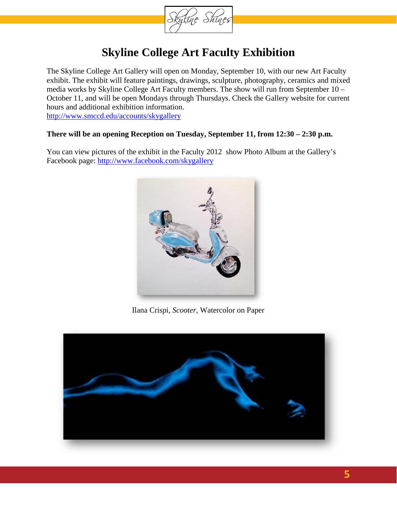

### **Skyline College Art Faculty Exhibition**

The Skyline College Art Gallery will open on Monday, September 10, with our new Art Faculty exhibit. The exhibit will feature paintings, drawings, sculpture, photography, ceramics and mixed media works by Skyline College Art Faculty members. The show will run from September 10 – October 11, and will be open Mondays through Thursdays. Check the Gallery website for current hours and additional exhibition information. <http://www.smccd.edu/accounts/skygallery>

#### **There will be an opening Reception on Tuesday, September 11, from 12:30 – 2:30 p.m.**

You can view pictures of the exhibit in the Faculty 2012 show Photo Album at the Gallery's Facebook page: [http://www.facebook.com/skygallery](http://www.facebook.com/pages/Skyline-College-Art-Gallery/102258493146760)



Ilana Crispi, *Scooter*, Watercolor on Paper

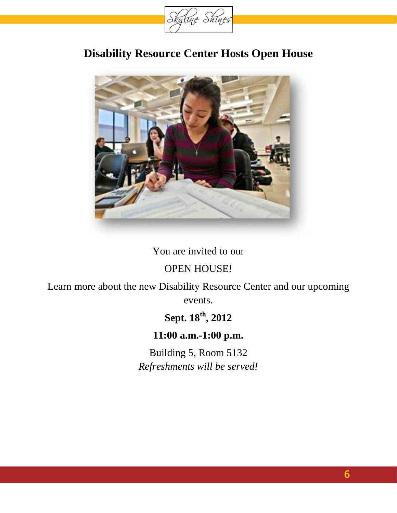

### **Disability Resource Center Hosts Open House**



### You are invited to our

### OPEN HOUSE!

Learn more about the new Disability Resource Center and our upcoming events.

# **Sept. 18th, 2012**

### **11:00 a.m.-1:00 p.m.**

Building 5, Room 5132 *Refreshments will be served!*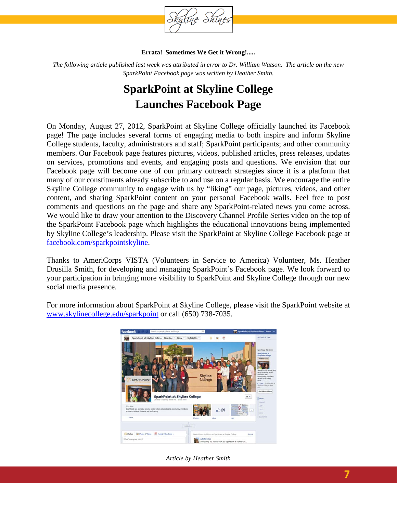

#### **Errata! Sometimes We Get it Wrong!.....**

*The following article published last week was attributed in error to Dr. William Watson. The article on the new SparkPoint Facebook page was written by Heather Smith.*

# **SparkPoint at Skyline College Launches Facebook Page**

On Monday, August 27, 2012, SparkPoint at Skyline College officially launched its Facebook page! The page includes several forms of engaging media to both inspire and inform Skyline College students, faculty, administrators and staff; SparkPoint participants; and other community members. Our Facebook page features pictures, videos, published articles, press releases, updates on services, promotions and events, and engaging posts and questions. We envision that our Facebook page will become one of our primary outreach strategies since it is a platform that many of our constituents already subscribe to and use on a regular basis. We encourage the entire Skyline College community to engage with us by "liking" our page, pictures, videos, and other content, and sharing SparkPoint content on your personal Facebook walls. Feel free to post comments and questions on the page and share any SparkPoint-related news you come across. We would like to draw your attention to the Discovery Channel Profile Series video on the top of the SparkPoint Facebook page which highlights the educational innovations being implemented by Skyline College's leadership. Please visit the SparkPoint at Skyline College Facebook page at [facebook.com/sparkpointskyline.](http://facebook.com/sparkpointskyline)

Thanks to AmeriCorps VISTA (Volunteers in Service to America) Volunteer, Ms. Heather Drusilla Smith, for developing and managing SparkPoint's Facebook page. We look forward to your participation in bringing more visibility to SparkPoint and Skyline College through our new social media presence.

For more information about SparkPoint at Skyline College, please visit the SparkPoint website at [www.skylinecollege.edu/sparkpoint](http://www.skylinecollege.edu/sparkpoint) or call (650) 738-7035.



*Article by Heather Smith*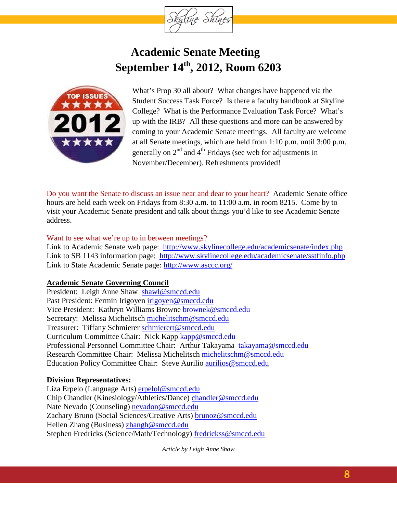

# **Academic Senate Meeting September 14th, 2012, Room 6203**



What's Prop 30 all about? What changes have happened via the Student Success Task Force? Is there a faculty handbook at Skyline College? What is the Performance Evaluation Task Force? What's up with the IRB? All these questions and more can be answered by coming to your Academic Senate meetings. All faculty are welcome at all Senate meetings, which are held from 1:10 p.m. until 3:00 p.m. generally on  $2<sup>nd</sup>$  and  $4<sup>th</sup>$  Fridays (see web for adjustments in November/December). Refreshments provided!

Do you want the Senate to discuss an issue near and dear to your heart? Academic Senate office hours are held each week on Fridays from 8:30 a.m. to 11:00 a.m. in room 8215. Come by to visit your Academic Senate president and talk about things you'd like to see Academic Senate address.

#### Want to see what we're up to in between meetings?

Link to Academic Senate web page: <http://www.skylinecollege.edu/academicsenate/index.php> Link to SB 1143 information page: <http://www.skylinecollege.edu/academicsenate/sstfinfo.php> Link to State Academic Senate page:<http://www.asccc.org/>

#### **Academic Senate Governing Council**

President: Leigh Anne Shaw [shawl@smccd.edu](mailto:shawl@smccd.edu) Past President: Fermin Irigoyen [irigoyen@smccd.edu](mailto:irigoyen@smccd.edu) Vice President: Kathryn Williams Browne [brownek@smccd.edu](mailto:brownek@smccd.edu) Secretary: Melissa Michelitsch [michelitschm@smccd.edu](mailto:michelitschm@smccd.edu) Treasurer: Tiffany Schmierer [schmierert@smccd.edu](mailto:schmierert@smccd.edu) Curriculum Committee Chair: Nick Kapp [kapp@smccd.edu](mailto:kapp@smccd.edu) Professional Personnel Committee Chair: Arthur Takayama [takayama@smccd.edu](mailto:takayama@smccd.edu) Research Committee Chair: Melissa Michelitsch [michelitschm@smccd.edu](mailto:michelitschm@smccd.edu) Education Policy Committee Chair: Steve Aurilio [aurilios@smccd.edu](mailto:aurilios@smccd.edu)

#### **Division Representatives:**

Liza Erpelo (Language Arts) [erpelol@smccd.edu](mailto:erpelol@smccd.edu) Chip Chandler (Kinesiology/Athletics/Dance) [chandler@smccd.edu](mailto:chandler@smccd.edu) Nate Nevado (Counseling) [nevadon@smccd.edu](mailto:nevadon@smccd.edu) Zachary Bruno (Social Sciences/Creative Arts) [brunoz@smccd.edu](mailto:brunoz@smccd.edu) Hellen Zhang (Business) [zhangh@smccd.edu](mailto:zhangh@smccd.edu) Stephen Fredricks (Science/Math/Technology) [fredrickss@smccd.edu](mailto:fredrickss@smccd.edu)

*Article by Leigh Anne Shaw*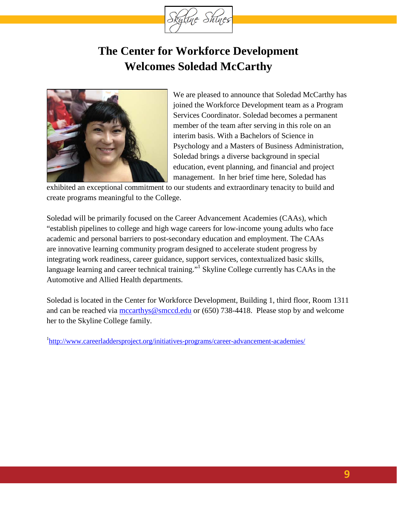

# **The Center for Workforce Development Welcomes Soledad McCarthy**



We are pleased to announce that Soledad McCarthy has joined the Workforce Development team as a Program Services Coordinator. Soledad becomes a permanent member of the team after serving in this role on an interim basis. With a Bachelors of Science in Psychology and a Masters of Business Administration, Soledad brings a diverse background in special education, event planning, and financial and project management. In her brief time here, Soledad has

exhibited an exceptional commitment to our students and extraordinary tenacity to build and create programs meaningful to the College.

Soledad will be primarily focused on the Career Advancement Academies (CAAs), which "establish pipelines to college and high wage careers for low-income young adults who face academic and personal barriers to post-secondary education and employment. The CAAs are innovative learning community program designed to accelerate student progress by integrating work readiness, career guidance, support services, contextualized basic skills, language learning and career technical training."<sup>1</sup> Skyline College currently has CAAs in the Automotive and Allied Health departments.

Soledad is located in the Center for Workforce Development, Building 1, third floor, Room 1311 and can be reached via [mccarthys@smccd.edu](mailto:mccarthys@smccd.edu) or (650) 738-4418. Please stop by and welcome her to the Skyline College family.

<sup>1</sup><http://www.careerladdersproject.org/initiatives-programs/career-advancement-academies/>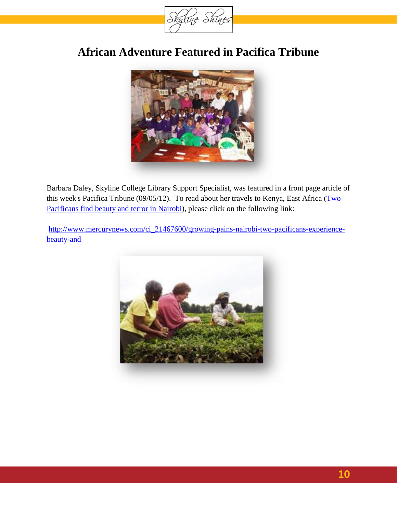

### **African Adventure Featured in Pacifica Tribune**



Barbara Daley, Skyline College Library Support Specialist, was featured in a front page article of this week's Pacifica Tribune (09/05/12). To read about her travels to Kenya, East Africa (Two [Pacificans find beauty and terror in Nairobi\)](http://www.mercurynews.com/pacifica/ci_21467600/growing-pains-nairobi-two-pacificans-experience-beauty-and), please click on the following link:

[http://www.mercurynews.com/ci\\_21467600/growing-pains-nairobi-two-pacificans-experience](http://www.mercurynews.com/ci_21467600/growing-pains-nairobi-two-pacificans-experience-beauty-and)[beauty-and](http://www.mercurynews.com/ci_21467600/growing-pains-nairobi-two-pacificans-experience-beauty-and)

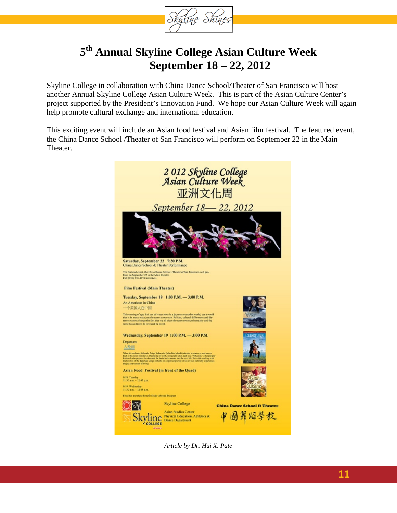

### **5th Annual Skyline College Asian Culture Week September 18 – 22, 2012**

Skyline College in collaboration with China Dance School/Theater of San Francisco will host another Annual Skyline College Asian Culture Week. This is part of the Asian Culture Center's project supported by the President's Innovation Fund. We hope our Asian Culture Week will again help promote cultural exchange and international education.

This exciting event will include an Asian food festival and Asian film festival. The featured event, the China Dance School /Theater of San Francisco will perform on September 22 in the Main Theater.



*Article by Dr. Hui X. Pate*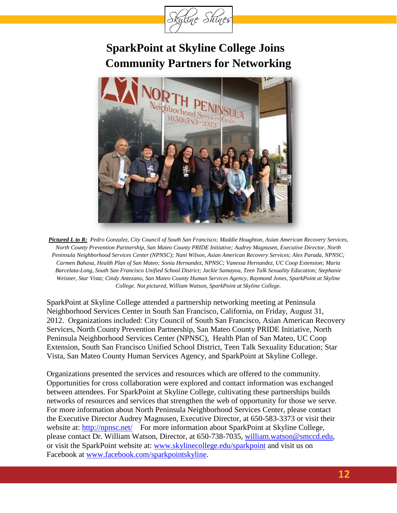

# **SparkPoint at Skyline College Joins Community Partners for Networking**



*Pictured L to R: Pedro Gonzalez, City Council of South San Francisco; Maddie Houghton, Asian American Recovery Services, North County Prevention Partnership, San Mateo County PRIDE Initiative; Audrey Magnusen, Executive Director, North Peninsula Neighborhood Services Center (NPNSC); Nani Wilson, Asian American Recovery Services; Alex Parada, NPNSC; Carmen Bahasa, Health Plan of San Mateo; Sonia Hernandez, NPNSC; Vanessa Hernandez, UC Coop Extension; Maria Barcelata-Long, South San Francisco Unified School District; Jackie Samayoa, Teen Talk Sexuality Education; Stephanie Weisner, Star Vista; Cindy Antezano, San Mateo County Human Services Agency, Raymond Jones, SparkPoint at Skyline College. Not pictured, William Watson, SparkPoint at Skyline College.*

SparkPoint at Skyline College attended a partnership networking meeting at Peninsula Neighborhood Services Center in South San Francisco, California, on Friday, August 31, 2012. Organizations included: City Council of South San Francisco, Asian American Recovery Services, North County Prevention Partnership, San Mateo County PRIDE Initiative, North Peninsula Neighborhood Services Center (NPNSC), Health Plan of San Mateo, UC Coop Extension, South San Francisco Unified School District, Teen Talk Sexuality Education; Star Vista, San Mateo County Human Services Agency, and SparkPoint at Skyline College.

Organizations presented the services and resources which are offered to the community. Opportunities for cross collaboration were explored and contact information was exchanged between attendees. For SparkPoint at Skyline College, cultivating these partnerships builds networks of resources and services that strengthen the web of opportunity for those we serve. For more information about North Peninsula Neighborhood Services Center, please contact the Executive Director Audrey Magnusen, Executive Director, at 650-583-3373 or visit their website at:<http://npnsc.net/>For more information about SparkPoint at Skyline College, please contact Dr. William Watson, Director, at 650-738-7035, [william.watson@smccd.edu,](mailto:william.watson@smccd.edu) or visit the SparkPoint website at: [www.skylinecollege.edu/sparkpoint](http://www.skylinecollege.edu/sparkpoint) and visit us on Facebook at [www.facebook.com/sparkpointskyline.](http://www.facebook.com/sparkpointskyline)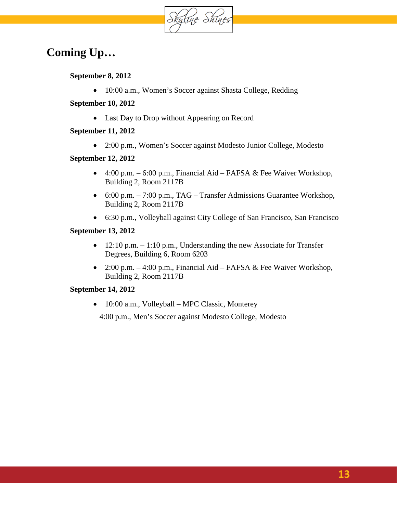

### **Coming Up…**

**September 8, 2012**

• 10:00 a.m., Women's Soccer against Shasta College, Redding

**September 10, 2012**

• Last Day to Drop without Appearing on Record

#### **September 11, 2012**

• 2:00 p.m., Women's Soccer against Modesto Junior College, Modesto

#### **September 12, 2012**

- 4:00 p.m.  $-6:00$  p.m., Financial Aid FAFSA  $\&$  Fee Waiver Workshop, Building 2, Room 2117B
- 6:00 p.m. 7:00 p.m., TAG Transfer Admissions Guarantee Workshop, Building 2, Room 2117B
- 6:30 p.m., Volleyball against City College of San Francisco, San Francisco

#### **September 13, 2012**

- 12:10 p.m.  $-1:10$  p.m., Understanding the new Associate for Transfer Degrees, Building 6, Room 6203
- 2:00 p.m. 4:00 p.m., Financial Aid FAFSA & Fee Waiver Workshop, Building 2, Room 2117B

#### **September 14, 2012**

• 10:00 a.m., Volleyball – MPC Classic, Monterey

4:00 p.m., Men's Soccer against Modesto College, Modesto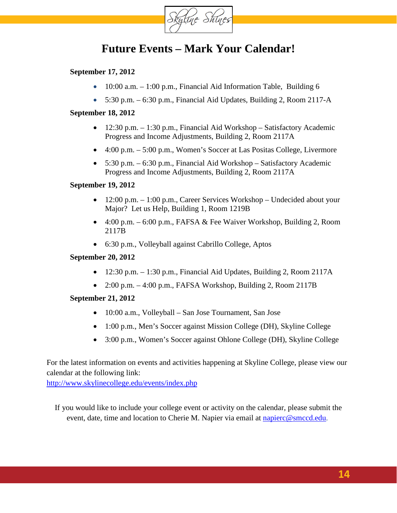

### **Future Events – Mark Your Calendar!**

#### **September 17, 2012**

- 10:00 a.m.  $-1:00$  p.m., Financial Aid Information Table, Building 6
- $5:30$  p.m.  $-6:30$  p.m., Financial Aid Updates, Building 2, Room 2117-A

#### **September 18, 2012**

- 12:30 p.m. 1:30 p.m., Financial Aid Workshop Satisfactory Academic Progress and Income Adjustments, Building 2, Room 2117A
- 4:00 p.m. 5:00 p.m., Women's Soccer at Las Positas College, Livermore
- 5:30 p.m. 6:30 p.m., Financial Aid Workshop Satisfactory Academic Progress and Income Adjustments, Building 2, Room 2117A

#### **September 19, 2012**

- 12:00 p.m. 1:00 p.m., Career Services Workshop Undecided about your Major? Let us Help, Building 1, Room 1219B
- 4:00 p.m. 6:00 p.m., FAFSA & Fee Waiver Workshop, Building 2, Room 2117B
- 6:30 p.m., Volleyball against Cabrillo College, Aptos

#### **September 20, 2012**

- 12:30 p.m.  $-1:30$  p.m., Financial Aid Updates, Building 2, Room 2117A
- 2:00 p.m.  $-4:00$  p.m., FAFSA Workshop, Building 2, Room 2117B

#### **September 21, 2012**

- 10:00 a.m., Volleyball San Jose Tournament, San Jose
- 1:00 p.m., Men's Soccer against Mission College (DH), Skyline College
- 3:00 p.m., Women's Soccer against Ohlone College (DH), Skyline College

For the latest information on events and activities happening at Skyline College, please view our calendar at the following link:

<http://www.skylinecollege.edu/events/index.php>

If you would like to include your college event or activity on the calendar, please submit the event, date, time and location to Cherie M. Napier via email at [napierc@smccd.edu.](mailto:napierc@smccd.edu)